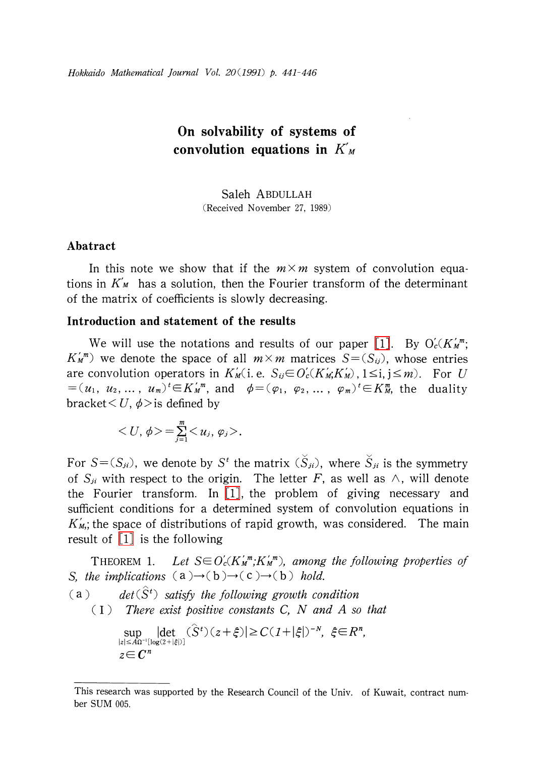# On solvability of systems of convolution equations in  $K_{M}$

Saleh ABDULLAH (Received November 27, 1989)

## Abatract

In this note we show that if the  $m\times m$  system of convolution equations in  $K_{M}$  has a solution, then the Fourier transform of the determinant of the matrix of coefficients is slowly decreasing.

### Introduction and statement of the results

We will use the notations and results of our paper [\[1\].](#page-5-0) By  $O_{c}'(K_{M}^{m})$ ;  $K_{M}^{m}$ ) we denote the space of all  $m\times m$  matrices  $S=(S_{ij})$ , whose entries are convolution operators in  $K_{M}'(i.$  e.  $S_{ij}\in O_{c}'(K_{M};K_{M}'),$   $1\!\leq\! i,$   $j\!\leq\! m)$ . For  $U$  $=(u_{1}, \ u_{2},\ldots, \ u_{m})^{t}\in K_{M}^{\prime}{}^{\bar{m}}$ , and  $\phi=(\varphi_{1}, \ \varphi_{2}, \ldots, \ \varphi_{m})^{t}\in K_{M}^{\bar{m}}$ , the duality bracket  $\leq U$ ,  $\phi$  is defined by

$$
\langle U, \phi \rangle = \sum_{j=1}^m \langle u_j, \varphi_j \rangle.
$$

For  $S = (S_{ji})$ , we denote by  $S^{t}$  the matrix  $(S_{ji})$ , where  $\overline{S}_{ji}$  is the symmetry of  $S_{ji}$  with respect to the origin. The letter F, as well as  $\wedge$ , will denote the Fourier transform. In [\[1\],](#page-5-0) the problem of giving necessary and sufficient conditions for a determined system of convolution equations in  $K_{M}$ ; the space of distributions of rapid growth, was considered. The main result of  $\lceil 1 \rceil$  is the following

THEOREM 1. Let  $S \in O_{c}'(K_{M}^{\prime\prime\prime\prime\prime}, K_{M}^{\prime\prime\prime\prime\prime})$ , among the following properties of S, the implications  $(a) \rightarrow (b) \rightarrow (c) \rightarrow (b)$  hold.

(a) det( $\hat{S}^{t}$ ) satisfy the following growth condition

 $(1)$  There exist positive constants C, N and A so that

$$
\sup_{|z| \le A\Omega^{-1}[\log(2+|\xi|)]} |\det(\hat{S}^t)(z+\xi)| \ge C(1+|\xi|)^{-N}, \xi \in \mathbb{R}^n,
$$
  

$$
z \in \mathbb{C}^n
$$

This research was supported by the Research Council of the Univ. of Kuwait, contract number SUM 005.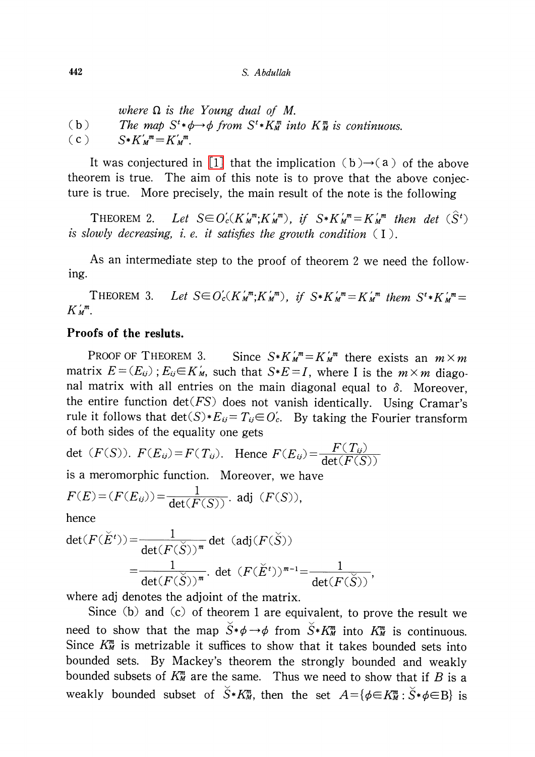where  $\Omega$  is the Young dual of M. (b) The map  $S^{t}*\phi \rightarrow \phi$  from  $S^{t}*K_{M}^{m}$  into  $K_{M}^{m}$  is continuous. (c)  $S*K_{M}^{'m}=K_{M}^{'m}$ .

It was conjectured in [\[1\]](#page-5-0) that the implication (b) $\rightarrow$ (a) of the above theorem is true. The aim of this note is to prove that the above conjecture is true. More precisely, the main result of the note is the following

THEOREM 2. Let  $S \in O_{c}'(K_{M}^{m}; K_{M}^{m})$ , if  $S*K_{M}^{m}=K_{M}^{m}$  then det  $(S^{t})$ is slowly decreasing, i. e. it satisfies the growth condition  $(1)$ .

As an intermediate step to the proof of theorem <sup>2</sup> we need the following.

THEOREM 3. Let  $S \in O_{c}'(K_{M}^{'m};K_{M}^{'m})$ , if  $S*K_{M}^{'m}=K_{M}^{'m}$  them  $S^{t}*K_{M}^{'m}=$  $K_{M}^{\prime m}$ .

## Proofs of the resluts.

PROOF OF THEOREM 3. Since  $S*K_{M}^{m}=K_{M}^{m}$  there exists an  $m\times m$ matrix  $E^{\mu} = (E_{ij})$  ;  $E_{ij} {\in} K_{M}'$ , such that  $S^*E = I$ , where I is the  $m \times m$  diagonal matrix with all entries on the main diagonal equal to  $\delta$ . Moreover, the entire function  $\det(FS)$  does not vanish identically. Using Cramar's rule it follows that  $\det(S)*E_{ij}=T_{ij}\!\!\in\! O_{c}'$ . By taking the Fourier transform of both sides of the equality one gets

det  $(F(S))$ .  $F(E_{ij})=F(T_{ij})$ . Hence  $F(E_{ij})=\frac{F(T_{ij})}{\det(F(S))}$ 

is a meromorphic function. Moreover, we have

$$
F(E) = (F(E_{ij})) = \frac{1}{\det(F(S))}
$$
. adj  $(F(S))$ ,

hence

$$
\det(F(\check{E}^t)) = \frac{1}{\det(F(\check{S}))^m} \det (\text{adj}(F(\check{S}))
$$
  
= 
$$
\frac{1}{\det(F(\check{S}))^m} \det(F(\check{E}^t))^{m-1} = \frac{1}{\det(F(\check{S}))},
$$

where adj denotes the adjoint of the matrix.

Since (b) and (c) of theorem <sup>1</sup> are equivalent, to prove the result we need to show that the map  $\check{S}*\phi\rightarrow\phi$  from  $\check{S}*\check{K}_{M}^{m}$  into  $K_{M}^{m}$  is continuous. Since  $K_{M}^{m}$  is metrizable it suffices to show that it takes bounded sets into bounded sets. By Mackey's theorem the strongly bounded and weakly bounded subsets of  $K_{M}^{m}$  are the same. Thus we need to show that if B is a weakly bounded subset of  $\check{S}*K_{M}^{m}$ , then the set  $A\!=\!\{\phi\!\in\! K_{M}^{m} :\check{S}*\phi\!\in\! \mathrm{B}\}$  is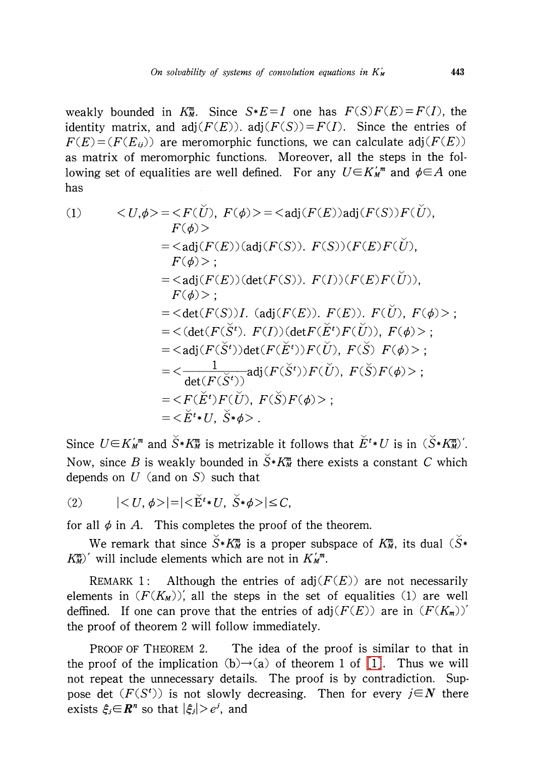weakly bounded in  $K_{M}^{m}$ . Since  $S*E=I$  one has  $F(S)F(E)=F(I)$ , the identity matrix, and adj $(F(E))$ . adj $(F(S))=F(I)$ . Since the entries of  $F(E)=(F(E_{ij}))$  are meromorphic functions, we can calculate adj $(F(E))$ as matrix of meromorphic functions. Moreover, all the steps in the following set of equalities are well defined. For any  $U\in K_{M}^{m}$  and  $\phi\in A$  one has

(1) 
$$
\langle U,\phi\rangle = \langle F(\check{U}), F(\phi)\rangle = \langle \text{adj}(F(E))\text{adj}(F(S))F(\check{U}), F(\phi)\rangle
$$

$$
= \langle \text{adj}(F(E))\text{(adj}(F(S)), F(S))(F(E)F(\check{U}), F(\phi)\rangle;
$$

$$
F(\phi)\rangle;
$$

$$
= \langle \text{adj}(F(E))\text{(det}(F(S)), F(I))(F(E)F(\check{U})), F(\phi)\rangle;
$$

$$
= \langle \text{det}(F(S))I. (\text{adj}(F(E)), F(E)), F(\check{U}), F(\phi)\rangle;
$$

$$
= \langle \text{det}(F(\check{S}^t), F(I))\text{(det}F(\check{E}^t)F(\check{U})), F(\phi)\rangle;
$$

$$
= \langle \text{adj}(F(\check{S}^t))\text{det}(F(\check{E}^t))F(\check{U}), F(\check{S})F(\phi)\rangle;
$$

$$
= \langle \text{det}(F(\check{S}^t))
$$

$$
= \langle F(\check{E}^t)F(\check{U}), F(\check{S})F(\phi)\rangle;
$$

$$
= \langle \check{E}^t * U, \check{S}^t * \phi \rangle.
$$

Since  $U\in K_{M}^{\prime m}$  and  $\check{S}*\check{K}_{M}^{m}$  is metrizable it follows that  $\check{E}^{t}*U$  is in  $(\check{S}*\check{K}_{M}^{m})'$ . Now, since B is weakly bounded in  $\check{S}*K_{M}^{m}$  there exists a constant C which depends on  $U$  (and on  $S$ ) such that

$$
(2) \qquad \quad |< U, \phi >| = |< \check{E}^t * U, \ \check{S} * \phi >| \leq C,
$$

for all  $\phi$  in A. This completes the proof of the theorem.

We remark that since  $S*K_{M}^{m}$  is a proper subspace of  $K_{M}^{m}$ , its dual  $(S*$  $K_{\tt M}^{m}$ )' will include elements which are not in  $K_{\tt M}^{r,m}.$ 

REMARK 1: Although the entries of adj $(F(E))$  are not necessarily elements in  $(F(K_{M}))'$ , all the steps in the set of equalities (1) are well deffined. If one can prove that the entries of adj $(F(E))$  are in  $(F(K_{m}))'$ the proof of theorem 2 will follow immediately.

PROOF OF THEOREM 2. The idea of the proof is similar to that in the proof of the implication  $(b) \rightarrow (a)$  of theorem 1 of [\[1\].](#page-5-0) Thus we will not repeat the unnecessary details. The proof is by contradiction. Suppose det  $(F(S^{t}))$  is not slowly decreasing. Then for every  $j\in N$  there exists  $\xi_{j}{\in} \boldsymbol{R}^n$  so that  $|\xi_{j}|\!>\!e^{j},$  and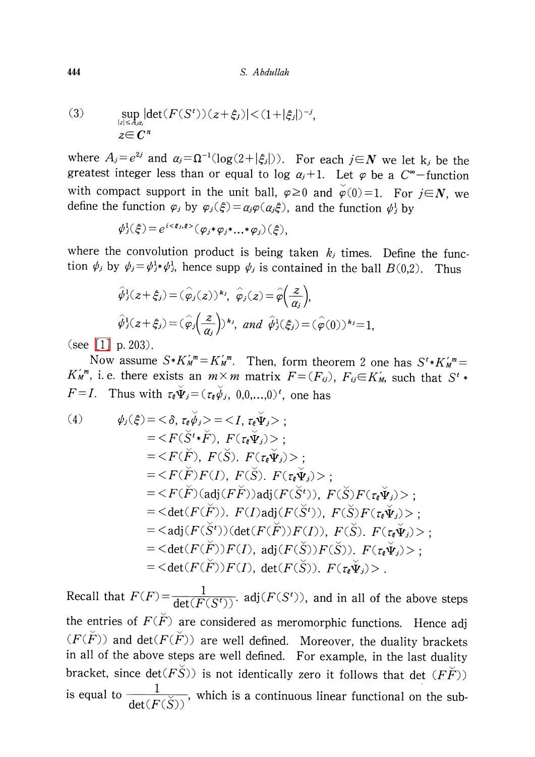(3) 
$$
\sup_{|z| \le A, \alpha_i} |\det(F(S^t))(z + \xi_j)| < (1 + |\xi_j|)^{-j},
$$
  
 
$$
z \in \mathbb{C}^n
$$

where  $A_{j}=e^{2j}$  and  $\alpha_{j}=\Omega^{-1}(\log(2+|\xi_{j}|))$ . For each  $j\in \mathbf{N}$  we let k<sub>j</sub> be the greatest integer less than or equal to log  $\alpha_{j}+1$ . Let  $\varphi$  be a  $C^{\infty}-$ function with compact support in the unit ball,  $\varphi\geq 0$  and  $\varphi(0)=1$ . For  $j\in \mathbb{N}$ , we define the function  $\varphi_{j}$  by  $\varphi_{j}(\xi)=a_{j}\varphi(a_{j}\xi)$ , and the function  $\psi_{j}^{1}$  by

$$
\psi_j^1(\xi) = e^{i \langle \xi_j, \xi \rangle} (\varphi_j * \varphi_j * \dots * \varphi_j) (\xi),
$$

where the convolution product is being taken  $k_{j}$  times. Define the function  $\psi_{j}$  by  $\psi_{j}=\psi_{j}^{1}*\psi_{j}^{1}$ , hence supp  $\psi_{j}$  is contained in the ball  $B(0,2)$ . Thus

$$
\hat{\varphi}_j^1(z+\xi_j) = (\hat{\varphi}_j(z))^{k_j}, \ \hat{\varphi}_j(z) = \hat{\varphi}\left(\frac{z}{\alpha_j}\right),
$$
  

$$
\hat{\varphi}_j^1(z+\xi_j) = (\hat{\varphi}_j\left(\frac{z}{\alpha_j}\right))^{k_j}, \ and \ \hat{\varphi}_j^1(\xi_j) = (\hat{\varphi}(0))^{k_j} = 1,
$$
  
202)

(see  $[1]$  p. 203).

Now assume  $S*K_{M}''=K_{M}''''$ . Then, form theorem 2 one has  $S^{t}*K_{M}''=K_{M}''$  $K_{M}^{r,m}$ , i.e. there exists an  $m\times m$  matrix  $F=(F_{ij}) , F_{ij}\in K_{M}^{r}$ , such that  $S^{t}*$  $F=I$ . Thus with  $\tau_{\epsilon}\check{\Psi}_{j}=(\tau_{\epsilon}\check{\psi}_{j}, 0,0,\ldots,0)^{t}$ , one has

(4) 
$$
\psi_j(\xi) = \langle \delta, \tau_{\xi} \check{\psi}_j \rangle = \langle I, \tau_{\xi} \check{\Psi}_j \rangle ;
$$
  
\n
$$
= \langle F(\check{S}^{t*} \check{F}), F(\tau_{\xi} \check{\Psi}_j) \rangle ;
$$
  
\n
$$
= \langle F(\check{F}), F(\check{S}), F(\tau_{\xi} \check{\Psi}_j) \rangle ;
$$
  
\n
$$
= \langle F(\check{F})F(I), F(\check{S}), F(\tau_{\xi} \check{\Psi}_j) \rangle ;
$$
  
\n
$$
= \langle F(\check{F}) (\text{adj}(F\check{F})) \text{adj}(F(\check{S}^{t})), F(\check{S})F(\tau_{\xi} \check{\Psi}_j) \rangle ;
$$
  
\n
$$
= \langle \text{det}(F(\check{F})). F(I) \text{adj}(F(\check{S}^{t})), F(\check{S})F(\tau_{\xi} \check{\Psi}_j) \rangle ;
$$
  
\n
$$
= \langle \text{adj}(F(\check{S}^{t})) (\text{det}(F(\check{F}))F(I)), F(\check{S}), F(\tau_{\xi} \check{\Psi}_j) \rangle ;
$$
  
\n
$$
= \langle \text{det}(F(\check{F}))F(I), \text{adj}(F(\check{S}))F(\check{S})). F(\tau_{\xi} \check{\Psi}_j) \rangle ;
$$
  
\n
$$
= \langle \text{det}(F(\check{F}))F(I), \text{det}(F(\check{S})). F(\tau_{\xi} \check{\Psi}_j) \rangle ;
$$

Recall that  $F(F) = \frac{1}{\det(F(S^{t}))}$ . adj  $(F(S^{t}))$ , and in all of the above steps the entries of  $F(\check{F})$  are considered as meromorphic functions. Hence adj  $(F(\check{F}))$  and  $\det(F(\check{F}))$  are well defined. Moreover, the duality brackets in all of the above steps are well defined. For example, in the last duality bracket, since  $\det(F\check{S})$  is not identically zero it follows that  $\det(F\check{F})$ ) is equal to  $\frac{1}{\det(F(\check{S}))}$ , which is a continuous linear functional on the sub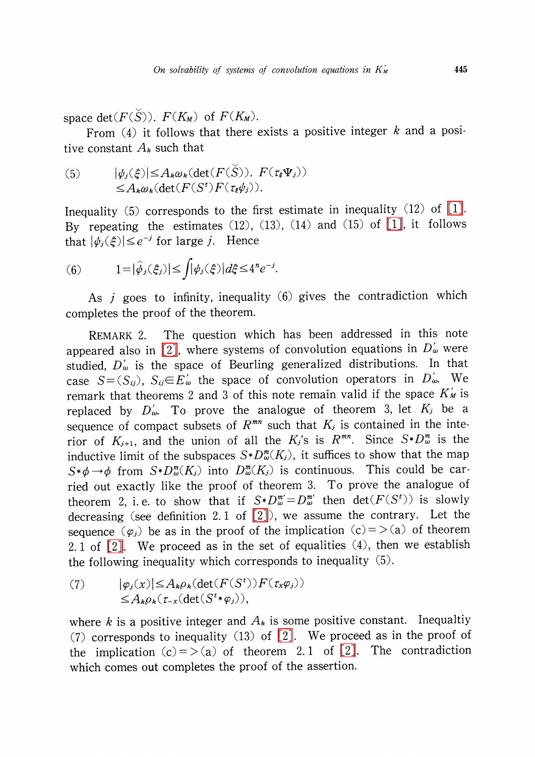space det( $F(S)$ ).  $F(K_{M})$  of  $F(K_{M})$ .

From  $(4)$  it follows that there exists a positive integer k and a positive constant  $A_{k}$  such that

(5) 
$$
|\psi_j(\xi)| \leq A_k \omega_k (\det(F(\check{S})), F(\tau_{\xi} \Psi_j))
$$

$$
\leq A_k \omega_k (\det(F(S^t) F(\tau_{\xi} \psi_j))).
$$

Inequality (5) corresponds to the first estimate in inequality (12) of [\[1\].](#page-5-0) By repeating the estimates  $(12)$ ,  $(13)$ ,  $(14)$  and  $(15)$  of  $[1]$ , it follows that  $|\psi_{i}(\xi)|\leq e^{-j}$  for large j. Hence

(6) 
$$
1 = |\hat{\psi}_j(\xi_j)| \le \int |\psi_j(\xi)| d\xi \le 4^n e^{-j}.
$$

As  $j$  goes to infinity, inequality (6) gives the contradiction which completes the proof of the theorem.

REMARK 2. The question which has been addressed in this note appeared also in [\[2\],](#page-5-1) where systems of convolution equations in  $D_{\omega}'$  were studied,  $D_{\omega}'$  is the space of Beurling generalized distributions. In that case  $S=(S_{ij})$ ,  $S_{ij}\in E_{\omega}'$  the space of convolution operators in  $D_{\omega}$ . We remark that theorems 2 and 3 of this note remain valid if the space  $K'_{M}$  is replaced by  $D_{\omega}^{'}$ . To prove the analogue of theorem 3, let  $K_{j}$  be a sequence of compact subsets of  $R^{mn}$  such that  $K_{j}$  is contained in the interior of  $K_{j+1}$ , and the union of all the  $K_{j}$ 's is  $R^{mn}$ . Since  $S*D_{\omega}^{m}$  is the inductive limit of the subspaces  $S*D_{\omega}^{\infty}(K_{j})$ , it suffices to show that the map  $S*\phi\rightarrow\phi$  from  $S*D_{\omega}^{m}(K_{j})$  into  $D_{\omega}^{m}(K_{j})$  is continuous. This could be carried out exactly like the proof of theorem 3. To prove the analogue of theorem 2, i.e. to show that if  $S*D_{\omega}^{m^{\prime}}=D_{\omega}^{m^{\prime}}$  then  $\det(F(S^{t}))$  is slowly decreasing (see definition 2. <sup>1</sup> of [\[2\]\)](#page-5-1), we assume the contrary. Let the sequence  $(\varphi_{j})$  be as in the proof of the implication  $(c) = \langle a \rangle$  of theorem 2.1 of  $[2]$ . We proceed as in the set of equalities  $(4)$ , then we establish the following inequality which corresponds to inequality (5).

(7) 
$$
|\varphi_j(x)| \leq A_k \rho_k(\det(F(S^t)) F(\tau_x \varphi_j))
$$

$$
\leq A_k \rho_k(\tau_{-x}(\det(S^t * \varphi_j)),
$$

where k is a positive integer and  $A_{k}$  is some positive constant. Inequaltiy (7) corresponds to inequality (13) of [\[2\].](#page-5-1) We proceed as in the proof of the implication  $(c) = \langle a \rangle$  of theorem 2.1 of [\[2\].](#page-5-1) The contradiction which comes out completes the proof of the assertion.